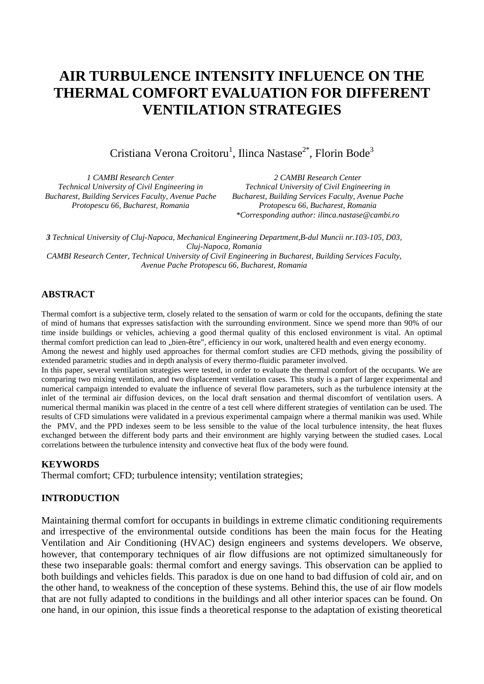# **AIR TURBULENCE INTENSITY INFLUENCE ON THE THERMAL COMFORT EVALUATION FOR DIFFERENT VENTILATION STRATEGIES**

Cristiana Verona Croitoru<sup>1</sup>, Ilinca Nastase<sup>2\*</sup>, Florin Bode<sup>3</sup>

| 1 CAMBI Research Center                                   | 2 CAMBI Research Center                                   |  |
|-----------------------------------------------------------|-----------------------------------------------------------|--|
| Technical University of Civil Engineering in              | Technical University of Civil Engineering in              |  |
| <b>Bucharest, Building Services Faculty, Avenue Pache</b> | <b>Bucharest, Building Services Faculty, Avenue Pache</b> |  |
| Protopescu 66, Bucharest, Romania                         | Protopescu 66, Bucharest, Romania                         |  |
|                                                           | *Corresponding author: ilinca.nastase@cambi.ro            |  |

*3 Technical University of Cluj-Napoca, Mechanical Engineering Department,B-dul Muncii nr.103-105, D03, Cluj-Napoca, Romania CAMBI Research Center, Technical University of Civil Engineering in Bucharest, Building Services Faculty, Avenue Pache Protopescu 66, Bucharest, Romania*

# **ABSTRACT**

Thermal comfort is a subjective term, closely related to the sensation of warm or cold for the occupants, defining the state of mind of humans that expresses satisfaction with the surrounding environment. Since we spend more than 90% of our time inside buildings or vehicles, achieving a good thermal quality of this enclosed environment is vital. An optimal thermal comfort prediction can lead to "bien-être", efficiency in our work, unaltered health and even energy economy.

Among the newest and highly used approaches for thermal comfort studies are CFD methods, giving the possibility of extended parametric studies and in depth analysis of every thermo-fluidic parameter involved.

In this paper, several ventilation strategies were tested, in order to evaluate the thermal comfort of the occupants. We are comparing two mixing ventilation, and two displacement ventilation cases. This study is a part of larger experimental and numerical campaign intended to evaluate the influence of several flow parameters, such as the turbulence intensity at the inlet of the terminal air diffusion devices, on the local draft sensation and thermal discomfort of ventilation users. A numerical thermal manikin was placed in the centre of a test cell where different strategies of ventilation can be used. The results of CFD simulations were validated in a previous experimental campaign where a thermal manikin was used. While the PMV, and the PPD indexes seem to be less sensible to the value of the local turbulence intensity, the heat fluxes exchanged between the different body parts and their environment are highly varying between the studied cases. Local correlations between the turbulence intensity and convective heat flux of the body were found.

#### **KEYWORDS**

Thermal comfort; CFD; turbulence intensity; ventilation strategies;

## **INTRODUCTION**

Maintaining thermal comfort for occupants in buildings in extreme climatic conditioning requirements and irrespective of the environmental outside conditions has been the main focus for the Heating Ventilation and Air Conditioning (HVAC) design engineers and systems developers. We observe, however, that contemporary techniques of air flow diffusions are not optimized simultaneously for these two inseparable goals: thermal comfort and energy savings. This observation can be applied to both buildings and vehicles fields. This paradox is due on one hand to bad diffusion of cold air, and on the other hand, to weakness of the conception of these systems. Behind this, the use of air flow models that are not fully adapted to conditions in the buildings and all other interior spaces can be found. On one hand, in our opinion, this issue finds a theoretical response to the adaptation of existing theoretical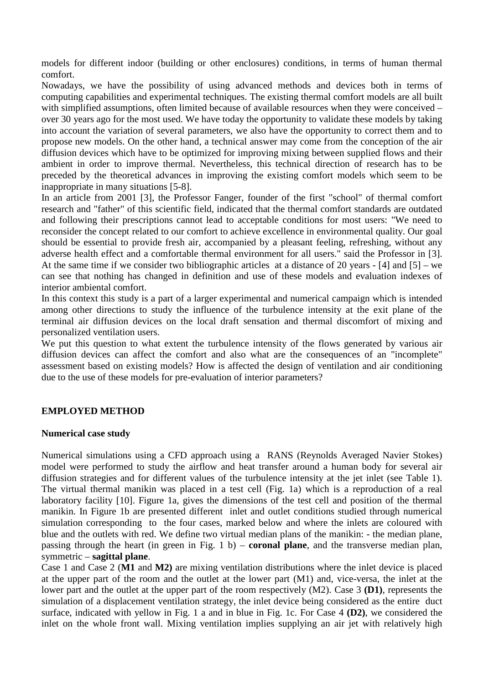models for different indoor (building or other enclosures) conditions, in terms of human thermal comfort.

Nowadays, we have the possibility of using advanced methods and devices both in terms of computing capabilities and experimental techniques. The existing thermal comfort models are all built with simplified assumptions, often limited because of available resources when they were conceived – over 30 years ago for the most used. We have today the opportunity to validate these models by taking into account the variation of several parameters, we also have the opportunity to correct them and to propose new models. On the other hand, a technical answer may come from the conception of the air diffusion devices which have to be optimized for improving mixing between supplied flows and their ambient in order to improve thermal. Nevertheless, this technical direction of research has to be preceded by the theoretical advances in improving the existing comfort models which seem to be inappropriate in many situations [\[5-8\]](#page-9-0).

In an article from 2001 [\[3\]](#page-9-1), the Professor Fanger, founder of the first "school" of thermal comfort research and "father" of this scientific field, indicated that the thermal comfort standards are outdated and following their prescriptions cannot lead to acceptable conditions for most users: "We need to reconsider the concept related to our comfort to achieve excellence in environmental quality. Our goal should be essential to provide fresh air, accompanied by a pleasant feeling, refreshing, without any adverse health effect and a comfortable thermal environment for all users." said the Professor in [\[3\]](#page-9-1). At the same time if we consider two bibliographic articles at a distance of 20 years - [\[4\]](#page-9-2) and [\[5\]](#page-9-0) – we can see that nothing has changed in definition and use of these models and evaluation indexes of interior ambiental comfort.

In this context this study is a part of a larger experimental and numerical campaign which is intended among other directions to study the influence of the turbulence intensity at the exit plane of the terminal air diffusion devices on the local draft sensation and thermal discomfort of mixing and personalized ventilation users.

We put this question to what extent the turbulence intensity of the flows generated by various air diffusion devices can affect the comfort and also what are the consequences of an "incomplete" assessment based on existing models? How is affected the design of ventilation and air conditioning due to the use of these models for pre-evaluation of interior parameters?

# **EMPLOYED METHOD**

## **Numerical case study**

Numerical simulations using a CFD approach using a RANS (Reynolds Averaged Navier Stokes) model were performed to study the airflow and heat transfer around a human body for several air diffusion strategies and for different values of the turbulence intensity at the jet inlet (see Table 1). The virtual thermal manikin was placed in a test cell (Fig. 1a) which is a reproduction of a real laboratory facility [10]. Figure 1a, gives the dimensions of the test cell and position of the thermal manikin. In Figure 1b are presented different inlet and outlet conditions studied through numerical simulation corresponding to the four cases, marked below and where the inlets are coloured with blue and the outlets with red. We define two virtual median plans of the manikin: - the median plane, passing through the heart (in green in Fig. 1 b) – **coronal plane**, and the transverse median plan, symmetric – **sagittal plane**.

Case 1 and Case 2 (**M1** and **M2)** are mixing ventilation distributions where the inlet device is placed at the upper part of the room and the outlet at the lower part (M1) and, vice-versa, the inlet at the lower part and the outlet at the upper part of the room respectively (M2). Case 3 **(D1)**, represents the simulation of a displacement ventilation strategy, the inlet device being considered as the entire duct surface, indicated with yellow in Fig. 1 a and in blue in Fig. 1c. For Case 4 **(D2)**, we considered the inlet on the whole front wall. Mixing ventilation implies supplying an air jet with relatively high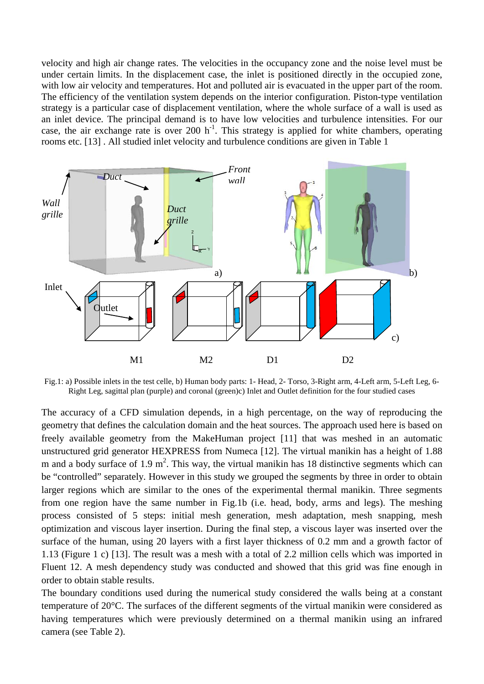velocity and high air change rates. The velocities in the occupancy zone and the noise level must be under certain limits. In the displacement case, the inlet is positioned directly in the occupied zone, with low air velocity and temperatures. Hot and polluted air is evacuated in the upper part of the room. The efficiency of the ventilation system depends on the interior configuration. Piston-type ventilation strategy is a particular case of displacement ventilation, where the whole surface of a wall is used as an inlet device. The principal demand is to have low velocities and turbulence intensities. For our case, the air exchange rate is over 200  $h^{-1}$ . This strategy is applied for white chambers, operating rooms etc. [\[13\]](#page-9-3) . All studied inlet velocity and turbulence conditions are given in Table 1



Fig.1: a) Possible inlets in the test celle, b) Human body parts: 1- Head, 2- Torso, 3-Right arm, 4-Left arm, 5-Left Leg, 6- Right Leg, sagittal plan (purple) and coronal (green)c) Inlet and Outlet definition for the four studied cases

The accuracy of a CFD simulation depends, in a high percentage, on the way of reproducing the geometry that defines the calculation domain and the heat sources. The approach used here is based on freely available geometry from the MakeHuman project [11] that was meshed in an automatic unstructured grid generator HEXPRESS from Numeca [12]. The virtual manikin has a height of 1.88 m and a body surface of  $1.9 \text{ m}^2$ . This way, the virtual manikin has 18 distinctive segments which can be "controlled" separately. However in this study we grouped the segments by three in order to obtain larger regions which are similar to the ones of the experimental thermal manikin. Three segments from one region have the same number in Fig.1b (i.e. head, body, arms and legs). The meshing process consisted of 5 steps: initial mesh generation, mesh adaptation, mesh snapping, mesh optimization and viscous layer insertion. During the final step, a viscous layer was inserted over the surface of the human, using 20 layers with a first layer thickness of 0.2 mm and a growth factor of 1.13 (Figure 1 c) [13]. The result was a mesh with a total of 2.2 million cells which was imported in Fluent 12. A mesh dependency study was conducted and showed that this grid was fine enough in order to obtain stable results.

The boundary conditions used during the numerical study considered the walls being at a constant temperature of 20°C. The surfaces of the different segments of the virtual manikin were considered as having temperatures which were previously determined on a thermal manikin using an infrared camera (see Table 2).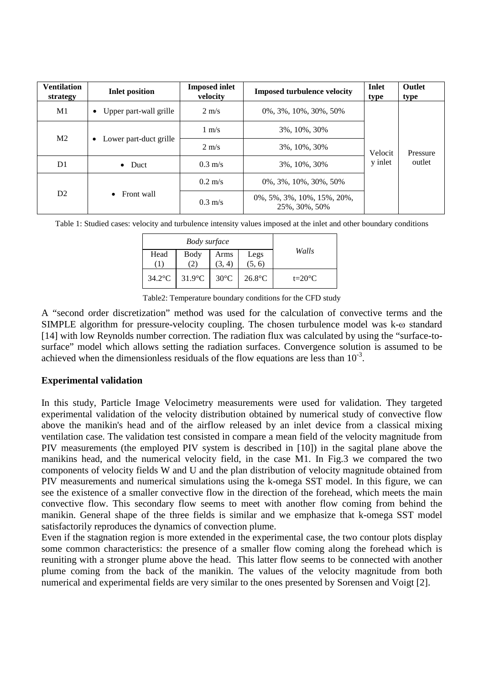| <b>Ventilation</b><br>strategy | <b>Inlet position</b>               | <b>Imposed inlet</b><br>velocity | <b>Imposed turbulence velocity</b>                 | <b>Inlet</b><br>type | <b>Outlet</b><br>type |
|--------------------------------|-------------------------------------|----------------------------------|----------------------------------------------------|----------------------|-----------------------|
| M <sub>1</sub>                 | Upper part-wall grille              | $2 \text{ m/s}$                  | $0\%, 3\%, 10\%, 30\%, 50\%$                       |                      | Pressure              |
| M <sub>2</sub>                 | Lower part-duct grille<br>$\bullet$ | $1 \text{ m/s}$                  | 3%, 10%, 30%                                       |                      |                       |
|                                |                                     | $2 \text{ m/s}$                  | 3%, 10%, 30%                                       | Velocit              |                       |
| D1                             | $\bullet$ Duct                      | $0.3 \text{ m/s}$                | 3%, 10%, 30%                                       | y inlet              | outlet                |
| D2                             | $\bullet$ Front wall                | $0.2 \text{ m/s}$                | $0\%, 3\%, 10\%, 30\%, 50\%$                       |                      |                       |
|                                |                                     | $0.3 \text{ m/s}$                | $0\%, 5\%, 3\%, 10\%, 15\%, 20\%$<br>25%, 30%, 50% |                      |                       |

Table 1: Studied cases: velocity and turbulence intensity values imposed at the inlet and other boundary conditions

|           | Body surface     |                |                  |                 |  |
|-----------|------------------|----------------|------------------|-----------------|--|
| Head      | Body<br><u>т</u> | Arms           | Legs<br>$(5, 6)$ | Walls           |  |
| $34.2$ °C | $31.9^{\circ}$ C | $30^{\circ}$ C | $26.8$ °C        | $t=20^{\circ}C$ |  |

Table2: Temperature boundary conditions for the CFD study

A "second order discretization" method was used for the calculation of convective terms and the SIMPLE algorithm for pressure-velocity coupling. The chosen turbulence model was k-ω standard [14] with low Reynolds number correction. The radiation flux was calculated by using the "surface-tosurface" model which allows setting the radiation surfaces. Convergence solution is assumed to be achieved when the dimensionless residuals of the flow equations are less than  $10^{-3}$ .

## **Experimental validation**

In this study, Particle Image Velocimetry measurements were used for validation. They targeted experimental validation of the velocity distribution obtained by numerical study of convective flow above the manikin's head and of the airflow released by an inlet device from a classical mixing ventilation case. The validation test consisted in compare a mean field of the velocity magnitude from PIV measurements (the employed PIV system is described in [10]) in the sagital plane above the manikins head, and the numerical velocity field, in the case M1. In Fig.3 we compared the two components of velocity fields W and U and the plan distribution of velocity magnitude obtained from PIV measurements and numerical simulations using the k-omega SST model. In this figure, we can see the existence of a smaller convective flow in the direction of the forehead, which meets the main convective flow. This secondary flow seems to meet with another flow coming from behind the manikin. General shape of the three fields is similar and we emphasize that k-omega SST model satisfactorily reproduces the dynamics of convection plume.

Even if the stagnation region is more extended in the experimental case, the two contour plots display some common characteristics: the presence of a smaller flow coming along the forehead which is reuniting with a stronger plume above the head. This latter flow seems to be connected with another plume coming from the back of the manikin. The values of the velocity magnitude from both numerical and experimental fields are very similar to the ones presented by Sorensen and Voigt [2].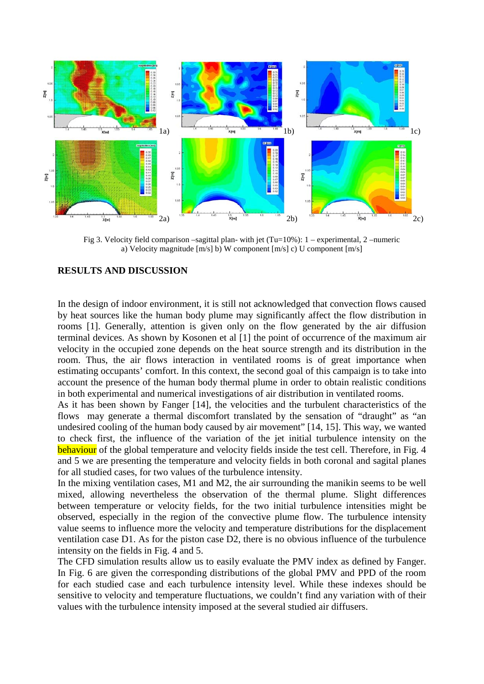

Fig 3. Velocity field comparison –sagittal plan- with jet  $(Tu=10\%)$ : 1 – experimental, 2 –numeric a) Velocity magnitude [m/s] b) W component [m/s] c) U component [m/s]

#### **RESULTS AND DISCUSSION**

In the design of indoor environment, it is still not acknowledged that convection flows caused by heat sources like the human body plume may significantly affect the flow distribution in rooms [1]. Generally, attention is given only on the flow generated by the air diffusion terminal devices. As shown by Kosonen et al [1] the point of occurrence of the maximum air velocity in the occupied zone depends on the heat source strength and its distribution in the room. Thus, the air flows interaction in ventilated rooms is of great importance when estimating occupants' comfort. In this context, the second goal of this campaign is to take into account the presence of the human body thermal plume in order to obtain realistic conditions in both experimental and numerical investigations of air distribution in ventilated rooms.

As it has been shown by Fanger [\[14\]](#page-9-4), the velocities and the turbulent characteristics of the flows may generate a thermal discomfort translated by the sensation of "draught" as "an undesired cooling of the human body caused by air movement" [\[14,](#page-9-4) [15\]](#page-9-5). This way, we wanted to check first, the influence of the variation of the jet initial turbulence intensity on the behaviour of the global temperature and velocity fields inside the test cell. Therefore, in Fig. 4 and 5 we are presenting the temperature and velocity fields in both coronal and sagital planes for all studied cases, for two values of the turbulence intensity.

In the mixing ventilation cases, M1 and M2, the air surrounding the manikin seems to be well mixed, allowing nevertheless the observation of the thermal plume. Slight differences between temperature or velocity fields, for the two initial turbulence intensities might be observed, especially in the region of the convective plume flow. The turbulence intensity value seems to influence more the velocity and temperature distributions for the displacement ventilation case D1. As for the piston case D2, there is no obvious influence of the turbulence intensity on the fields in Fig. 4 and 5.

The CFD simulation results allow us to easily evaluate the PMV index as defined by Fanger. In Fig. 6 are given the corresponding distributions of the global PMV and PPD of the room for each studied case and each turbulence intensity level. While these indexes should be sensitive to velocity and temperature fluctuations, we couldn't find any variation with of their values with the turbulence intensity imposed at the several studied air diffusers.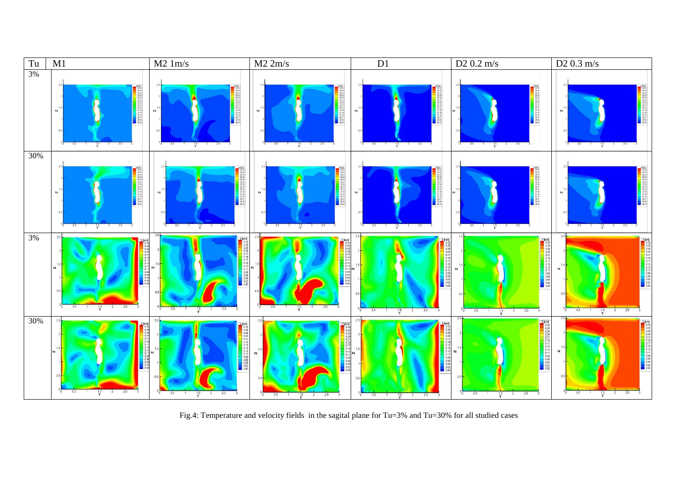

Fig.4: Temperature and velocity fields in the sagital plane for Tu=3% and Tu=30% for all studied cases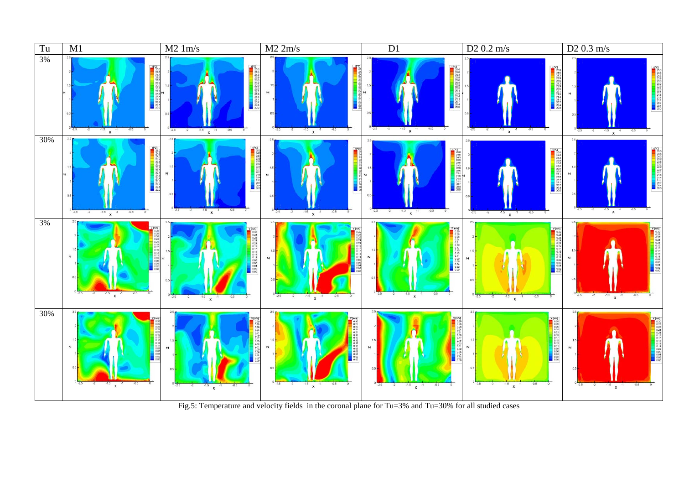

Fig.5: Temperature and velocity fields in the coronal plane for Tu=3% and Tu=30% for all studied cases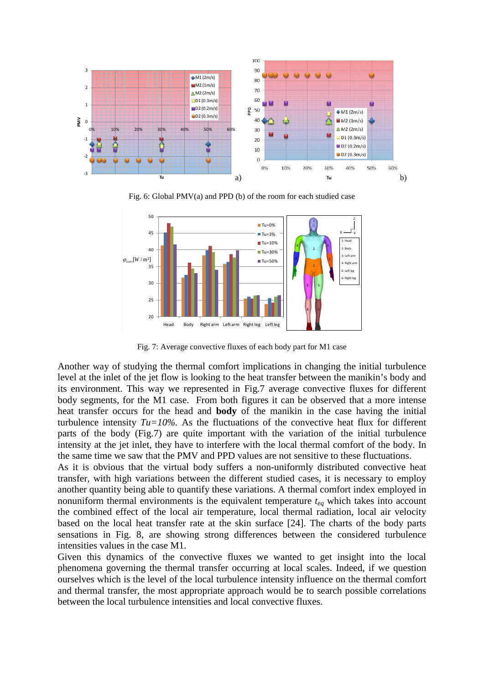

Fig. 6: Global PMV(a) and PPD (b) of the room for each studied case



Fig. 7: Average convective fluxes of each body part for M1 case

Another way of studying the thermal comfort implications in changing the initial turbulence level at the inlet of the jet flow is looking to the heat transfer between the manikin's body and its environment. This way we represented in Fig.7 average convective fluxes for different body segments, for the M1 case. From both figures it can be observed that a more intense heat transfer occurs for the head and **body** of the manikin in the case having the initial turbulence intensity  $Tu=10\%$ . As the fluctuations of the convective heat flux for different parts of the body (Fig.7) are quite important with the variation of the initial turbulence intensity at the jet inlet, they have to interfere with the local thermal comfort of the body. In the same time we saw that the PMV and PPD values are not sensitive to these fluctuations.

As it is obvious that the virtual body suffers a non-uniformly distributed convective heat transfer, with high variations between the different studied cases, it is necessary to employ another quantity being able to quantify these variations. A thermal comfort index employed in nonuniform thermal environments is the equivalent temperature *teq* which takes into account the combined effect of the local air temperature, local thermal radiation, local air velocity based on the local heat transfer rate at the skin surface [24]. The charts of the body parts sensations in Fig. 8, are showing strong differences between the considered turbulence intensities values in the case M1.

Given this dynamics of the convective fluxes we wanted to get insight into the local phenomena governing the thermal transfer occurring at local scales. Indeed, if we question ourselves which is the level of the local turbulence intensity influence on the thermal comfort and thermal transfer, the most appropriate approach would be to search possible correlations between the local turbulence intensities and local convective fluxes.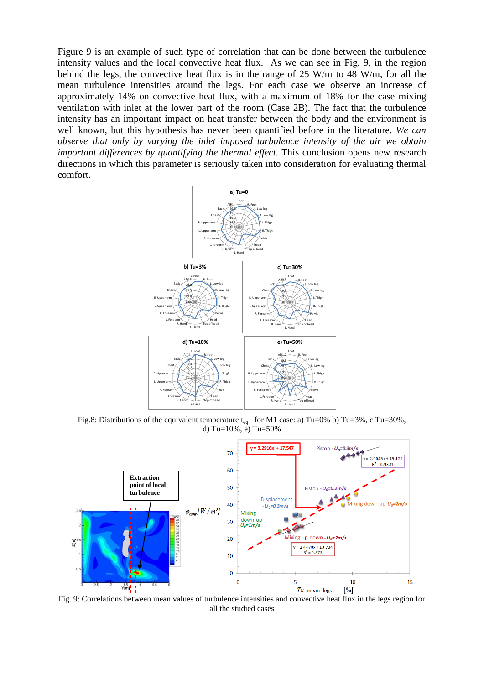Figure 9 is an example of such type of correlation that can be done between the turbulence intensity values and the local convective heat flux. As we can see in Fig. 9, in the region behind the legs, the convective heat flux is in the range of 25 W/m to 48 W/m, for all the mean turbulence intensities around the legs. For each case we observe an increase of approximately 14% on convective heat flux, with a maximum of 18% for the case mixing ventilation with inlet at the lower part of the room (Case 2B). The fact that the turbulence intensity has an important impact on heat transfer between the body and the environment is well known, but this hypothesis has never been quantified before in the literature. *We can observe that only by varying the inlet imposed turbulence intensity of the air we obtain important differences by quantifying the thermal effect.* This conclusion opens new research directions in which this parameter is seriously taken into consideration for evaluating thermal comfort.



Fig.8: Distributions of the equivalent temperature  $t_{eq}$  for M1 case: a) Tu=0% b) Tu=3%, c Tu=30%, d) Tu=10%, e) Tu=50%



Fig. 9: Correlations between mean values of turbulence intensities and convective heat flux in the legs region for all the studied cases